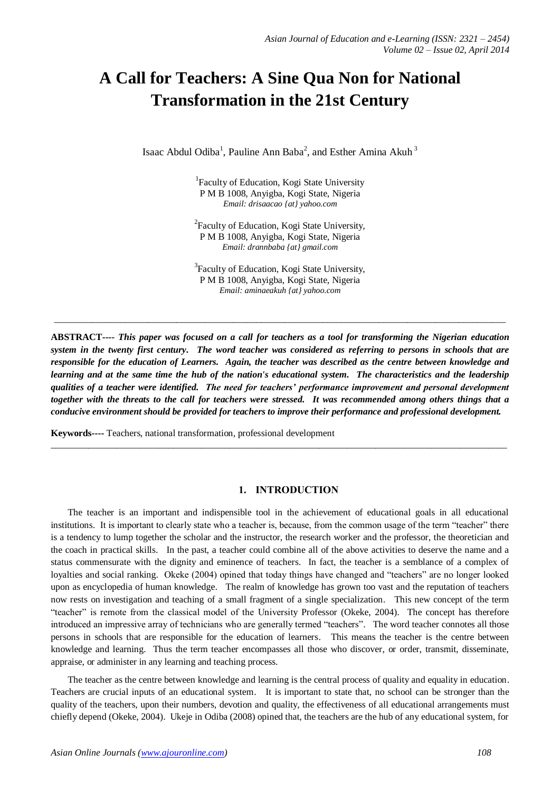# **A Call for Teachers: A Sine Qua Non for National Transformation in the 21st Century**

Isaac Abdul Odiba<sup>1</sup>, Pauline Ann Baba<sup>2</sup>, and Esther Amina Akuh<sup>3</sup>

<sup>1</sup>Faculty of Education, Kogi State University P M B 1008, Anyigba, Kogi State, Nigeria *Email: drisaacao {at} yahoo.com*

<sup>2</sup> Faculty of Education, Kogi State University, P M B 1008, Anyigba, Kogi State, Nigeria *Email: drannbaba {at} gmail.com*

<sup>3</sup> Faculty of Education, Kogi State University, P M B 1008, Anyigba, Kogi State, Nigeria *Email: aminaeakuh {at} yahoo.com*

 $\_$  ,  $\_$  ,  $\_$  ,  $\_$  ,  $\_$  ,  $\_$  ,  $\_$  ,  $\_$  ,  $\_$  ,  $\_$  ,  $\_$  ,  $\_$  ,  $\_$  ,  $\_$  ,  $\_$  ,  $\_$  ,  $\_$  ,  $\_$  ,  $\_$  ,  $\_$  ,  $\_$  ,  $\_$  ,  $\_$  ,  $\_$  ,  $\_$  ,  $\_$  ,  $\_$  ,  $\_$  ,  $\_$  ,  $\_$  ,  $\_$  ,  $\_$  ,  $\_$  ,  $\_$  ,  $\_$  ,  $\_$  ,  $\_$  ,

**ABSTRACT***---- This paper was focused on a call for teachers as a tool for transforming the Nigerian education system in the twenty first century. The word teacher was considered as referring to persons in schools that are responsible for the education of Learners. Again, the teacher was described as the centre between knowledge and learning and at the same time the hub of the nation's educational system. The characteristics and the leadership qualities of a teacher were identified. The need for teachers' performance improvement and personal development together with the threats to the call for teachers were stressed. It was recommended among others things that a conducive environment should be provided for teachers to improve their performance and professional development.*

 $\_$  ,  $\_$  ,  $\_$  ,  $\_$  ,  $\_$  ,  $\_$  ,  $\_$  ,  $\_$  ,  $\_$  ,  $\_$  ,  $\_$  ,  $\_$  ,  $\_$  ,  $\_$  ,  $\_$  ,  $\_$  ,  $\_$  ,  $\_$  ,  $\_$  ,  $\_$  ,  $\_$  ,  $\_$  ,  $\_$  ,  $\_$  ,  $\_$  ,  $\_$  ,  $\_$  ,  $\_$  ,  $\_$  ,  $\_$  ,  $\_$  ,  $\_$  ,  $\_$  ,  $\_$  ,  $\_$  ,  $\_$  ,  $\_$  ,

**Keywords----** Teachers, national transformation, professional development

#### **1. INTRODUCTION**

The teacher is an important and indispensible tool in the achievement of educational goals in all educational institutions. It is important to clearly state who a teacher is, because, from the common usage of the term "teacher" there is a tendency to lump together the scholar and the instructor, the research worker and the professor, the theoretician and the coach in practical skills. In the past, a teacher could combine all of the above activities to deserve the name and a status commensurate with the dignity and eminence of teachers. In fact, the teacher is a semblance of a complex of loyalties and social ranking. Okeke (2004) opined that today things have changed and "teachers" are no longer looked upon as encyclopedia of human knowledge. The realm of knowledge has grown too vast and the reputation of teachers now rests on investigation and teaching of a small fragment of a single specialization. This new concept of the term "teacher" is remote from the classical model of the University Professor (Okeke, 2004). The concept has therefore introduced an impressive array of technicians who are generally termed "teachers". The word teacher connotes all those persons in schools that are responsible for the education of learners. This means the teacher is the centre between knowledge and learning. Thus the term teacher encompasses all those who discover, or order, transmit, disseminate, appraise, or administer in any learning and teaching process.

The teacher as the centre between knowledge and learning is the central process of quality and equality in education. Teachers are crucial inputs of an educational system. It is important to state that, no school can be stronger than the quality of the teachers, upon their numbers, devotion and quality, the effectiveness of all educational arrangements must chiefly depend (Okeke, 2004). Ukeje in Odiba (2008) opined that, the teachers are the hub of any educational system, for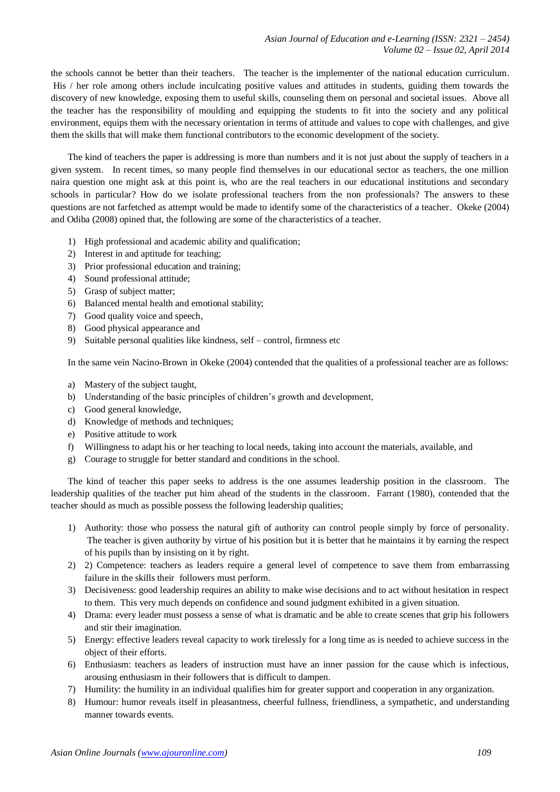the schools cannot be better than their teachers. The teacher is the implementer of the national education curriculum. His / her role among others include inculcating positive values and attitudes in students, guiding them towards the discovery of new knowledge, exposing them to useful skills, counseling them on personal and societal issues. Above all the teacher has the responsibility of moulding and equipping the students to fit into the society and any political environment, equips them with the necessary orientation in terms of attitude and values to cope with challenges, and give them the skills that will make them functional contributors to the economic development of the society.

The kind of teachers the paper is addressing is more than numbers and it is not just about the supply of teachers in a given system. In recent times, so many people find themselves in our educational sector as teachers, the one million naira question one might ask at this point is, who are the real teachers in our educational institutions and secondary schools in particular? How do we isolate professional teachers from the non professionals? The answers to these questions are not farfetched as attempt would be made to identify some of the characteristics of a teacher. Okeke (2004) and Odiba (2008) opined that, the following are some of the characteristics of a teacher.

- 1) High professional and academic ability and qualification;
- 2) Interest in and aptitude for teaching;
- 3) Prior professional education and training;
- 4) Sound professional attitude;
- 5) Grasp of subject matter;
- 6) Balanced mental health and emotional stability;
- 7) Good quality voice and speech,
- 8) Good physical appearance and
- 9) Suitable personal qualities like kindness, self control, firmness etc

In the same vein Nacino-Brown in Okeke (2004) contended that the qualities of a professional teacher are as follows:

- a) Mastery of the subject taught,
- b) Understanding of the basic principles of children's growth and development,
- c) Good general knowledge,
- d) Knowledge of methods and techniques;
- e) Positive attitude to work
- f) Willingness to adapt his or her teaching to local needs, taking into account the materials, available, and
- g) Courage to struggle for better standard and conditions in the school.

The kind of teacher this paper seeks to address is the one assumes leadership position in the classroom. The leadership qualities of the teacher put him ahead of the students in the classroom. Farrant (1980), contended that the teacher should as much as possible possess the following leadership qualities;

- 1) Authority: those who possess the natural gift of authority can control people simply by force of personality. The teacher is given authority by virtue of his position but it is better that he maintains it by earning the respect of his pupils than by insisting on it by right.
- 2) 2) Competence: teachers as leaders require a general level of competence to save them from embarrassing failure in the skills their followers must perform.
- 3) Decisiveness: good leadership requires an ability to make wise decisions and to act without hesitation in respect to them. This very much depends on confidence and sound judgment exhibited in a given situation.
- 4) Drama: every leader must possess a sense of what is dramatic and be able to create scenes that grip his followers and stir their imagination.
- 5) Energy: effective leaders reveal capacity to work tirelessly for a long time as is needed to achieve success in the object of their efforts.
- 6) Enthusiasm: teachers as leaders of instruction must have an inner passion for the cause which is infectious, arousing enthusiasm in their followers that is difficult to dampen.
- 7) Humility: the humility in an individual qualifies him for greater support and cooperation in any organization.
- 8) Humour: humor reveals itself in pleasantness, cheerful fullness, friendliness, a sympathetic, and understanding manner towards events.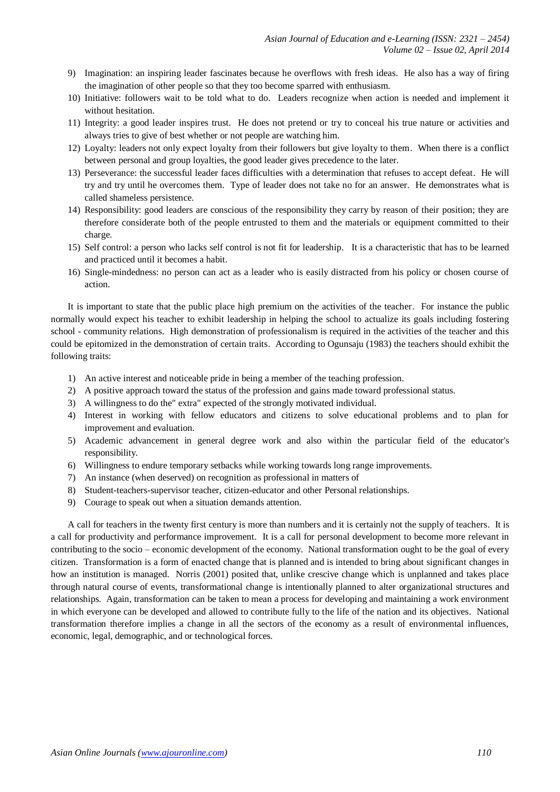- 9) Imagination: an inspiring leader fascinates because he overflows with fresh ideas. He also has a way of firing the imagination of other people so that they too become sparred with enthusiasm.
- 10) Initiative: followers wait to be told what to do. Leaders recognize when action is needed and implement it without hesitation.
- 11) Integrity: a good leader inspires trust. He does not pretend or try to conceal his true nature or activities and always tries to give of best whether or not people are watching him.
- 12) Loyalty: leaders not only expect loyalty from their followers but give loyalty to them. When there is a conflict between personal and group loyalties, the good leader gives precedence to the later.
- 13) Perseverance: the successful leader faces difficulties with a determination that refuses to accept defeat. He will try and try until he overcomes them. Type of leader does not take no for an answer. He demonstrates what is called shameless persistence.
- 14) Responsibility: good leaders are conscious of the responsibility they carry by reason of their position; they are therefore considerate both of the people entrusted to them and the materials or equipment committed to their charge.
- 15) Self control: a person who lacks self control is not fit for leadership. It is a characteristic that has to be learned and practiced until it becomes a habit.
- 16) Single-mindedness: no person can act as a leader who is easily distracted from his policy or chosen course of action.

It is important to state that the public place high premium on the activities of the teacher. For instance the public normally would expect his teacher to exhibit leadership in helping the school to actualize its goals including fostering school - community relations. High demonstration of professionalism is required in the activities of the teacher and this could be epitomized in the demonstration of certain traits. According to Ogunsaju (1983) the teachers should exhibit the following traits:

- 1) An active interest and noticeable pride in being a member of the teaching profession.
- 2) A positive approach toward the status of the profession and gains made toward professional status.
- 3) A willingness to do the" extra" expected of the strongly motivated individual.
- 4) Interest in working with fellow educators and citizens to solve educational problems and to plan for improvement and evaluation.
- 5) Academic advancement in general degree work and also within the particular field of the educator's responsibility.
- 6) Willingness to endure temporary setbacks while working towards long range improvements.
- 7) An instance (when deserved) on recognition as professional in matters of
- 8) Student-teachers-supervisor teacher, citizen-educator and other Personal relationships.
- 9) Courage to speak out when a situation demands attention.

A call for teachers in the twenty first century is more than numbers and it is certainly not the supply of teachers. It is a call for productivity and performance improvement. It is a call for personal development to become more relevant in contributing to the socio – economic development of the economy. National transformation ought to be the goal of every citizen. Transformation is a form of enacted change that is planned and is intended to bring about significant changes in how an institution is managed. Norris (2001) posited that, unlike crescive change which is unplanned and takes place through natural course of events, transformational change is intentionally planned to alter organizational structures and relationships. Again, transformation can be taken to mean a process for developing and maintaining a work environment in which everyone can be developed and allowed to contribute fully to the life of the nation and its objectives. National transformation therefore implies a change in all the sectors of the economy as a result of environmental influences, economic, legal, demographic, and or technological forces.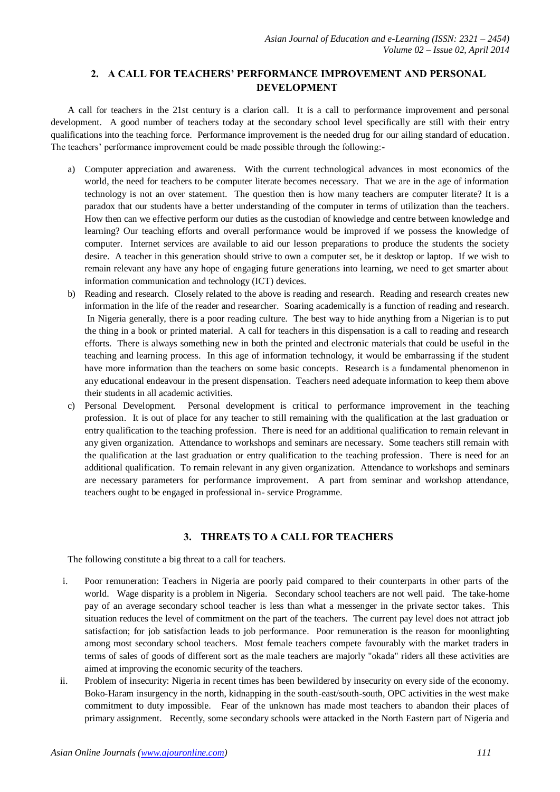# **2. A CALL FOR TEACHERS' PERFORMANCE IMPROVEMENT AND PERSONAL DEVELOPMENT**

A call for teachers in the 21st century is a clarion call. It is a call to performance improvement and personal development. A good number of teachers today at the secondary school level specifically are still with their entry qualifications into the teaching force. Performance improvement is the needed drug for our ailing standard of education. The teachers' performance improvement could be made possible through the following:-

- a) Computer appreciation and awareness. With the current technological advances in most economics of the world, the need for teachers to be computer literate becomes necessary. That we are in the age of information technology is not an over statement. The question then is how many teachers are computer literate? It is a paradox that our students have a better understanding of the computer in terms of utilization than the teachers. How then can we effective perform our duties as the custodian of knowledge and centre between knowledge and learning? Our teaching efforts and overall performance would be improved if we possess the knowledge of computer. Internet services are available to aid our lesson preparations to produce the students the society desire. A teacher in this generation should strive to own a computer set, be it desktop or laptop. If we wish to remain relevant any have any hope of engaging future generations into learning, we need to get smarter about information communication and technology (ICT) devices.
- b) Reading and research. Closely related to the above is reading and research. Reading and research creates new information in the life of the reader and researcher. Soaring academically is a function of reading and research. In Nigeria generally, there is a poor reading culture. The best way to hide anything from a Nigerian is to put the thing in a book or printed material. A call for teachers in this dispensation is a call to reading and research efforts. There is always something new in both the printed and electronic materials that could be useful in the teaching and learning process. In this age of information technology, it would be embarrassing if the student have more information than the teachers on some basic concepts. Research is a fundamental phenomenon in any educational endeavour in the present dispensation. Teachers need adequate information to keep them above their students in all academic activities.
- c) Personal Development. Personal development is critical to performance improvement in the teaching profession. It is out of place for any teacher to still remaining with the qualification at the last graduation or entry qualification to the teaching profession. There is need for an additional qualification to remain relevant in any given organization. Attendance to workshops and seminars are necessary. Some teachers still remain with the qualification at the last graduation or entry qualification to the teaching profession. There is need for an additional qualification. To remain relevant in any given organization. Attendance to workshops and seminars are necessary parameters for performance improvement. A part from seminar and workshop attendance, teachers ought to be engaged in professional in- service Programme.

## **3. THREATS TO A CALL FOR TEACHERS**

The following constitute a big threat to a call for teachers.

- i. Poor remuneration: Teachers in Nigeria are poorly paid compared to their counterparts in other parts of the world. Wage disparity is a problem in Nigeria. Secondary school teachers are not well paid. The take-home pay of an average secondary school teacher is less than what a messenger in the private sector takes. This situation reduces the level of commitment on the part of the teachers. The current pay level does not attract job satisfaction; for job satisfaction leads to job performance. Poor remuneration is the reason for moonlighting among most secondary school teachers. Most female teachers compete favourably with the market traders in terms of sales of goods of different sort as the male teachers are majorly "okada" riders all these activities are aimed at improving the economic security of the teachers.
- ii. Problem of insecurity: Nigeria in recent times has been bewildered by insecurity on every side of the economy. Boko-Haram insurgency in the north, kidnapping in the south-east/south-south, OPC activities in the west make commitment to duty impossible. Fear of the unknown has made most teachers to abandon their places of primary assignment. Recently, some secondary schools were attacked in the North Eastern part of Nigeria and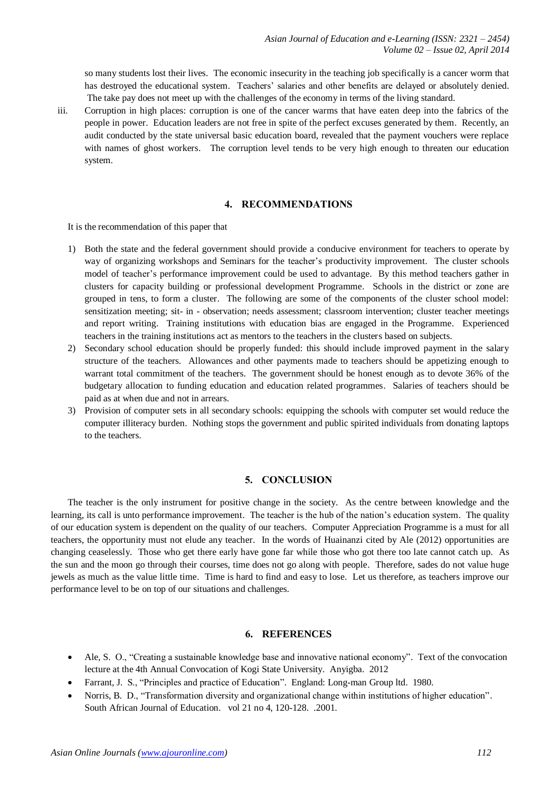so many students lost their lives. The economic insecurity in the teaching job specifically is a cancer worm that has destroyed the educational system. Teachers' salaries and other benefits are delayed or absolutely denied. The take pay does not meet up with the challenges of the economy in terms of the living standard.

iii. Corruption in high places: corruption is one of the cancer warms that have eaten deep into the fabrics of the people in power. Education leaders are not free in spite of the perfect excuses generated by them. Recently, an audit conducted by the state universal basic education board, revealed that the payment vouchers were replace with names of ghost workers. The corruption level tends to be very high enough to threaten our education system.

## **4. RECOMMENDATIONS**

It is the recommendation of this paper that

- 1) Both the state and the federal government should provide a conducive environment for teachers to operate by way of organizing workshops and Seminars for the teacher's productivity improvement. The cluster schools model of teacher's performance improvement could be used to advantage. By this method teachers gather in clusters for capacity building or professional development Programme. Schools in the district or zone are grouped in tens, to form a cluster. The following are some of the components of the cluster school model: sensitization meeting; sit- in - observation; needs assessment; classroom intervention; cluster teacher meetings and report writing. Training institutions with education bias are engaged in the Programme. Experienced teachers in the training institutions act as mentors to the teachers in the clusters based on subjects.
- 2) Secondary school education should be properly funded: this should include improved payment in the salary structure of the teachers. Allowances and other payments made to teachers should be appetizing enough to warrant total commitment of the teachers. The government should be honest enough as to devote 36% of the budgetary allocation to funding education and education related programmes. Salaries of teachers should be paid as at when due and not in arrears.
- 3) Provision of computer sets in all secondary schools: equipping the schools with computer set would reduce the computer illiteracy burden. Nothing stops the government and public spirited individuals from donating laptops to the teachers.

## **5. CONCLUSION**

The teacher is the only instrument for positive change in the society. As the centre between knowledge and the learning, its call is unto performance improvement. The teacher is the hub of the nation's education system. The quality of our education system is dependent on the quality of our teachers. Computer Appreciation Programme is a must for all teachers, the opportunity must not elude any teacher. In the words of Huainanzi cited by Ale (2012) opportunities are changing ceaselessly. Those who get there early have gone far while those who got there too late cannot catch up. As the sun and the moon go through their courses, time does not go along with people. Therefore, sades do not value huge jewels as much as the value little time. Time is hard to find and easy to lose. Let us therefore, as teachers improve our performance level to be on top of our situations and challenges.

#### **6. REFERENCES**

- Ale, S. O., "Creating a sustainable knowledge base and innovative national economy". Text of the convocation lecture at the 4th Annual Convocation of Kogi State University. Anyigba. 2012
- Farrant, J. S., "Principles and practice of Education". England: Long-man Group ltd. 1980.
- Norris, B. D., "Transformation diversity and organizational change within institutions of higher education". South African Journal of Education. vol 21 no 4, 120-128. .2001.